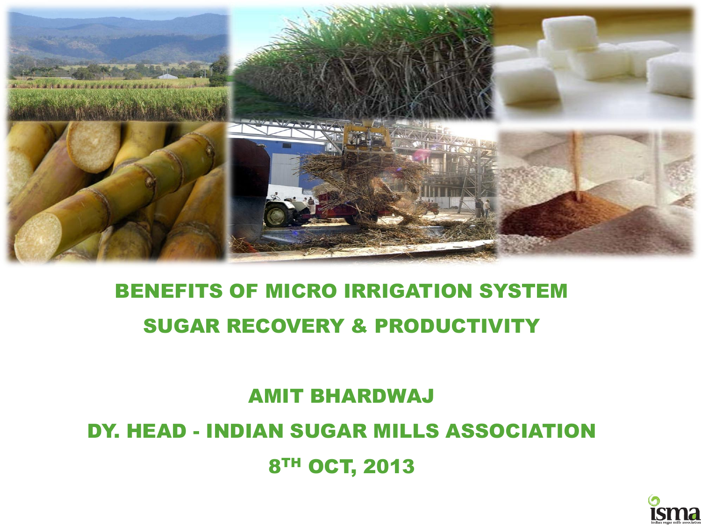

### 8TH OCT, 2013

## DY. HEAD - INDIAN SUGAR MILLS ASSOCIATION

## AMIT BHARDWAJ

### BENEFITS OF MICRO IRRIGATION SYSTEM SUGAR RECOVERY & PRODUCTIVITY

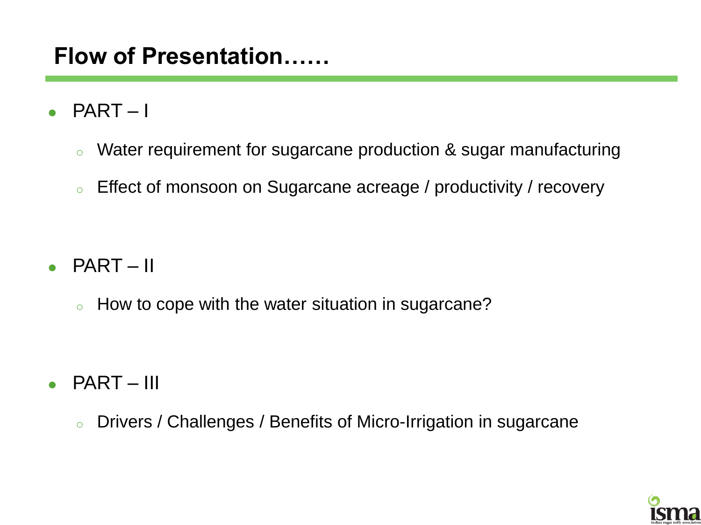### **Flow of Presentation……**

- PART I
	- <sup>o</sup> Water requirement for sugarcane production & sugar manufacturing
	- <sup>o</sup> Effect of monsoon on Sugarcane acreage / productivity / recovery

- $\bullet$  PART II
	- o How to cope with the water situation in sugarcane?

- $\bullet$  PART III
	- <sup>o</sup> Drivers / Challenges / Benefits of Micro-Irrigation in sugarcane

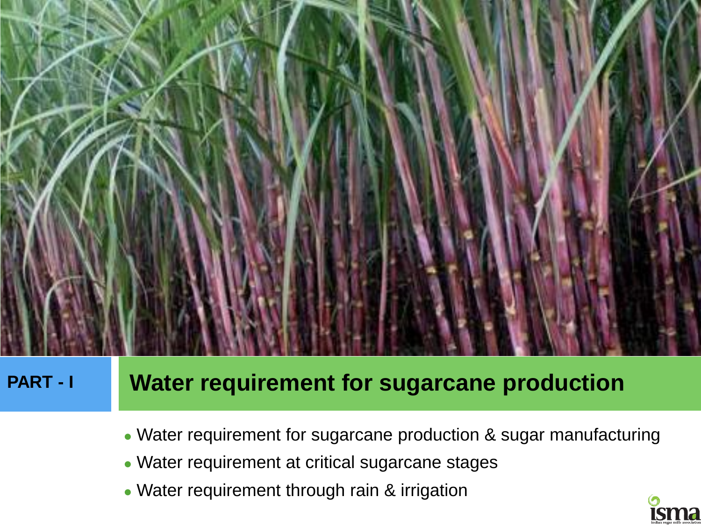

### **PART - I Water requirement for sugarcane production**

- Water requirement for sugarcane production & sugar manufacturing
- Water requirement at critical sugarcane stages
- Water requirement through rain & irrigation

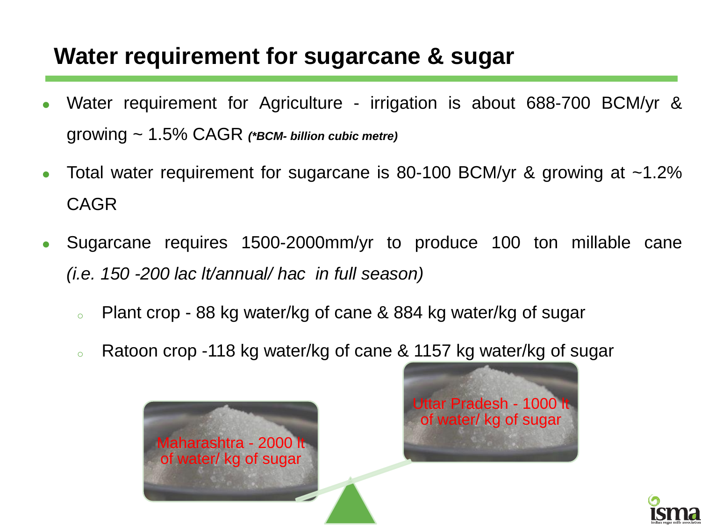### **Water requirement for sugarcane & sugar**

- Water requirement for Agriculture irrigation is about 688-700 BCM/yr & growing ~ 1.5% CAGR *(\*BCM- billion cubic metre)*
- Total water requirement for sugarcane is 80-100 BCM/yr & growing at  $\sim$ 1.2% CAGR
- Sugarcane requires 1500-2000mm/yr to produce 100 ton millable cane *(i.e. 150 -200 lac lt/annual/ hac in full season)*
	- <sup>o</sup> Plant crop 88 kg water/kg of cane & 884 kg water/kg of sugar
	- Ratoon crop -118 kg water/kg of cane & 1157 kg water/kg of sugar





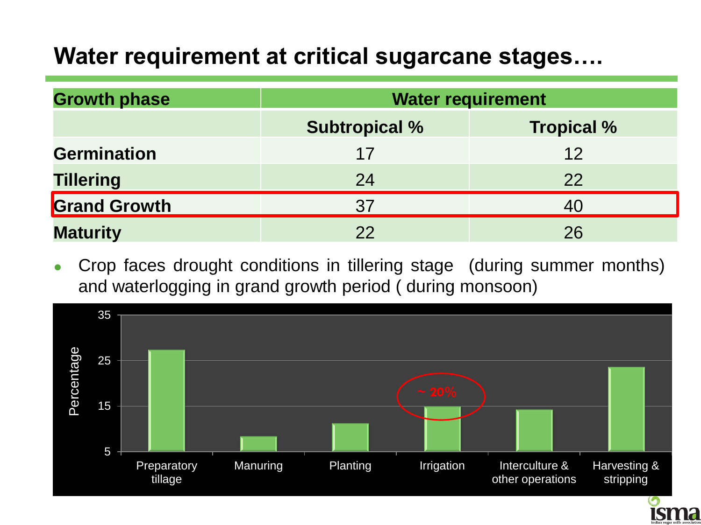### **Water requirement at critical sugarcane stages….**

| <b>Growth phase</b> | <b>Water requirement</b> |                   |  |
|---------------------|--------------------------|-------------------|--|
|                     | <b>Subtropical %</b>     | <b>Tropical %</b> |  |
| <b>Germination</b>  | 17                       | 12                |  |
| <b>Tillering</b>    | 24                       | 22                |  |
| <b>Grand Growth</b> | 37                       | 40                |  |
| <b>Maturity</b>     | 22                       | 26                |  |

 Crop faces drought conditions in tillering stage (during summer months) and waterlogging in grand growth period ( during monsoon)



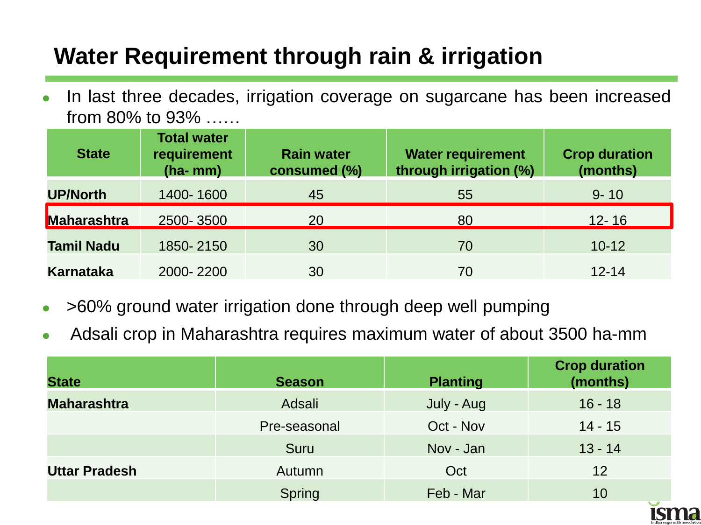### **Water Requirement through rain & irrigation**

 In last three decades, irrigation coverage on sugarcane has been increased from 80% to 93% ……

| <b>State</b>      | <b>Total water</b><br>requirement<br>$(ha-mm)$ | <b>Rain water</b><br>consumed (%) | <b>Water requirement</b><br>through irrigation (%) | <b>Crop duration</b><br>(months) |
|-------------------|------------------------------------------------|-----------------------------------|----------------------------------------------------|----------------------------------|
| <b>UP/North</b>   | 1400-1600                                      | 45                                | 55                                                 | $9 - 10$                         |
| Maharashtra       | 2500-3500                                      | 20                                | 80                                                 | $12 - 16$                        |
| <b>Tamil Nadu</b> | 1850-2150                                      | 30                                | 70                                                 | $10 - 12$                        |
| <b>Karnataka</b>  | 2000-2200                                      | 30                                | 70                                                 | $12 - 14$                        |

- >60% ground water irrigation done through deep well pumping
- Adsali crop in Maharashtra requires maximum water of about 3500 ha-mm

| <b>State</b>         | <b>Season</b> | <b>Planting</b> | <b>Crop duration</b><br>(months) |
|----------------------|---------------|-----------------|----------------------------------|
| <b>Maharashtra</b>   | Adsali        | July - Aug      | $16 - 18$                        |
|                      | Pre-seasonal  | Oct - Nov       | $14 - 15$                        |
|                      | Suru          | Nov - Jan       | $13 - 14$                        |
| <b>Uttar Pradesh</b> | Autumn        | Oct             | 12                               |
|                      | Spring        | Feb - Mar       | 10                               |

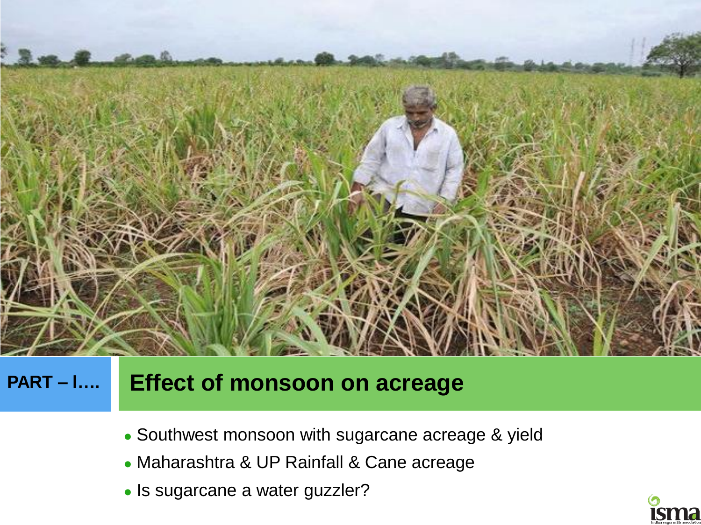

### **PART – I…. Effect of monsoon on acreage**

- Southwest monsoon with sugarcane acreage & yield
- Maharashtra & UP Rainfall & Cane acreage
- Is sugarcane a water guzzler?

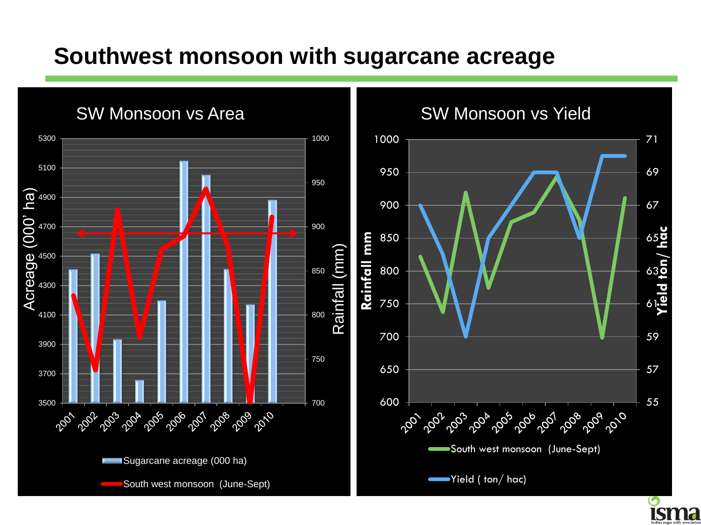### **Southwest monsoon with sugarcane acreage**





Yield ( ton/ hac)

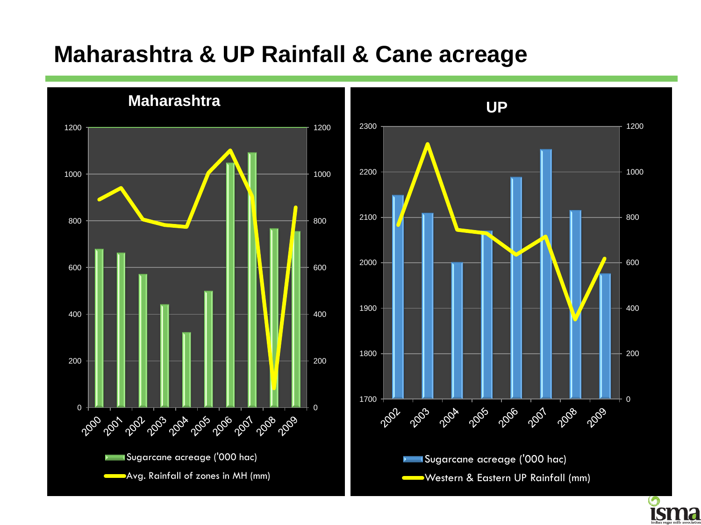### **Maharashtra & UP Rainfall & Cane acreage**

**Maharashtra**





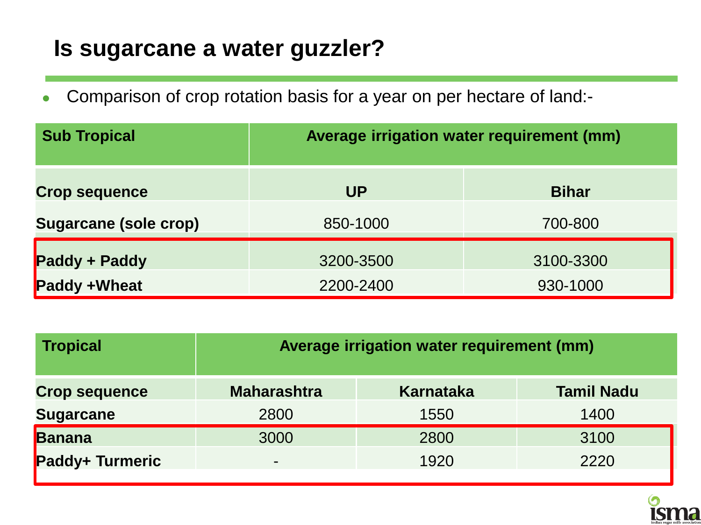### **Is sugarcane a water guzzler?**

Comparison of crop rotation basis for a year on per hectare of land:-

| <b>Sub Tropical</b>          | Average irrigation water requirement (mm) |           |  |  |
|------------------------------|-------------------------------------------|-----------|--|--|
| <b>Crop sequence</b>         | <b>UP</b><br><b>Bihar</b>                 |           |  |  |
| <b>Sugarcane (sole crop)</b> | 850-1000<br>700-800                       |           |  |  |
| Paddy + Paddy                | 3200-3500                                 | 3100-3300 |  |  |
| Paddy +Wheat                 | 930-1000<br>2200-2400                     |           |  |  |

| <b>Tropical</b>      | Average irrigation water requirement (mm)                   |      |      |  |  |  |
|----------------------|-------------------------------------------------------------|------|------|--|--|--|
| <b>Crop sequence</b> | <b>Maharashtra</b><br><b>Tamil Nadu</b><br><b>Karnataka</b> |      |      |  |  |  |
| <b>Sugarcane</b>     | 1550<br>2800<br>1400                                        |      |      |  |  |  |
| Banana               | 3000                                                        | 2800 | 3100 |  |  |  |
| Paddy+ Turmeric      | 1920<br>2220<br>$\blacksquare$                              |      |      |  |  |  |

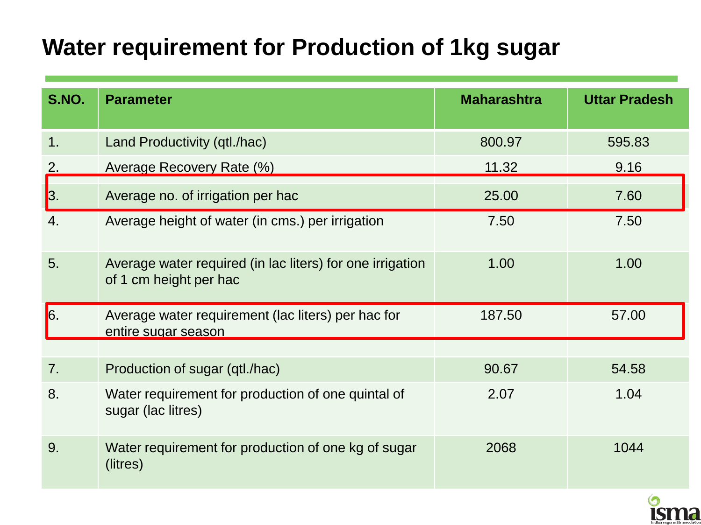### **Water requirement for Production of 1kg sugar**

| <b>S.NO.</b>   | <b>Parameter</b>                                                                    | <b>Maharashtra</b> | <b>Uttar Pradesh</b> |
|----------------|-------------------------------------------------------------------------------------|--------------------|----------------------|
| 1.             | Land Productivity (qtl./hac)                                                        | 800.97             | 595.83               |
| 2.             | Average Recovery Rate (%)                                                           | 11.32              | 9.16                 |
| 3.             | Average no. of irrigation per hac                                                   | 25.00              | 7.60                 |
| 4.             | Average height of water (in cms.) per irrigation                                    | 7.50               | 7.50                 |
| 5.             | Average water required (in lac liters) for one irrigation<br>of 1 cm height per hac | 1.00               | 1.00                 |
| $\vert 6.$     | Average water requirement (lac liters) per hac for<br>entire sugar season           | 187.50             | 57.00                |
|                |                                                                                     |                    |                      |
| 7 <sub>1</sub> | Production of sugar (qtl./hac)                                                      | 90.67              | 54.58                |
| 8.             | Water requirement for production of one quintal of<br>sugar (lac litres)            | 2.07               | 1.04                 |
| 9.             | Water requirement for production of one kg of sugar<br>(litres)                     | 2068               | 1044                 |

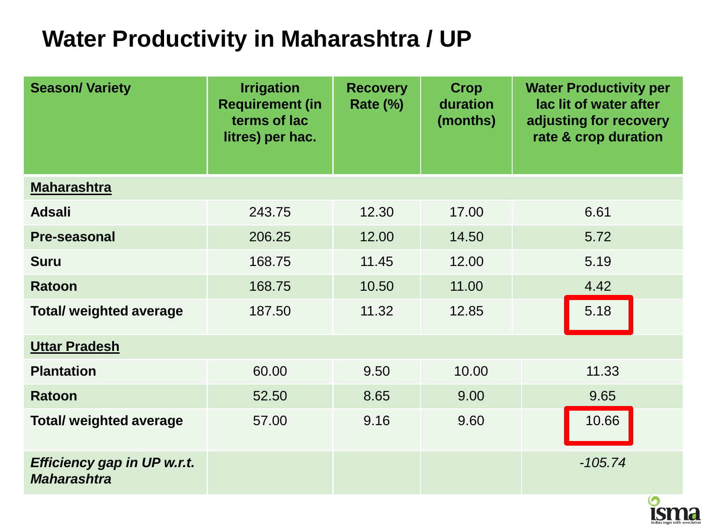### **Water Productivity in Maharashtra / UP**

| <b>Season/Variety</b>                                    | <b>Irrigation</b><br><b>Requirement (in</b><br>terms of lac<br>litres) per hac. | <b>Recovery</b><br>Rate (%) | <b>Crop</b><br>duration<br>(months) | <b>Water Productivity per</b><br>lac lit of water after<br>adjusting for recovery<br>rate & crop duration |
|----------------------------------------------------------|---------------------------------------------------------------------------------|-----------------------------|-------------------------------------|-----------------------------------------------------------------------------------------------------------|
| <b>Maharashtra</b>                                       |                                                                                 |                             |                                     |                                                                                                           |
| <b>Adsali</b>                                            | 243.75                                                                          | 12.30                       | 17.00                               | 6.61                                                                                                      |
| <b>Pre-seasonal</b>                                      | 206.25                                                                          | 12.00                       | 14.50                               | 5.72                                                                                                      |
| <b>Suru</b>                                              | 168.75                                                                          | 11.45                       | 12.00                               | 5.19                                                                                                      |
| <b>Ratoon</b>                                            | 168.75                                                                          | 10.50                       | 11.00                               | 4.42                                                                                                      |
| <b>Total/ weighted average</b>                           | 187.50                                                                          | 11.32                       | 12.85                               | 5.18                                                                                                      |
| <b>Uttar Pradesh</b>                                     |                                                                                 |                             |                                     |                                                                                                           |
| <b>Plantation</b>                                        | 60.00                                                                           | 9.50                        | 10.00                               | 11.33                                                                                                     |
| <b>Ratoon</b>                                            | 52.50                                                                           | 8.65                        | 9.00                                | 9.65                                                                                                      |
| <b>Total/ weighted average</b>                           | 57.00                                                                           | 9.16                        | 9.60                                | 10.66                                                                                                     |
| <b>Efficiency gap in UP w.r.t.</b><br><b>Maharashtra</b> |                                                                                 |                             |                                     | $-105.74$                                                                                                 |

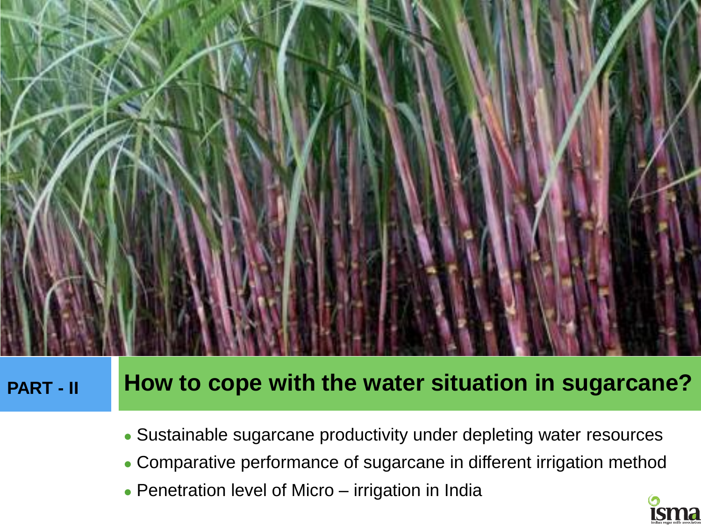

### **PART - II** How to cope with the water situation in sugarcane?

- Sustainable sugarcane productivity under depleting water resources
- Comparative performance of sugarcane in different irrigation method
- Penetration level of Micro irrigation in India

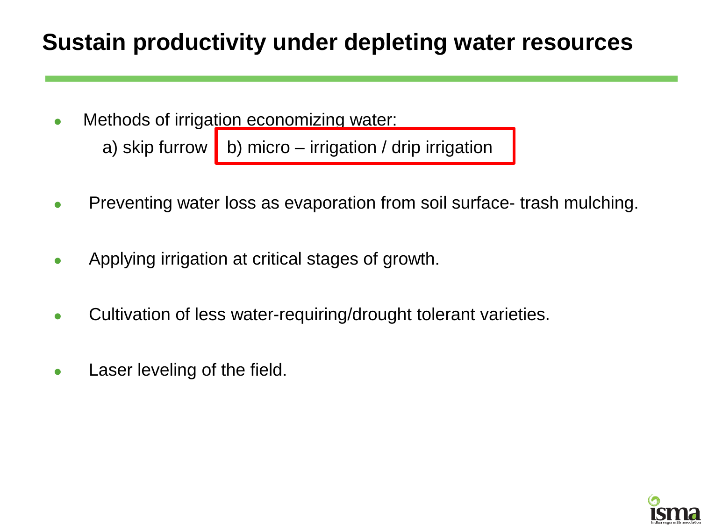### **Sustain productivity under depleting water resources**

Methods of irrigation economizing water:

a) skip furrow | b) micro – irrigation / drip irrigation

- Preventing water loss as evaporation from soil surface-trash mulching.
- Applying irrigation at critical stages of growth.
- Cultivation of less water-requiring/drought tolerant varieties.
- **Laser leveling of the field.**

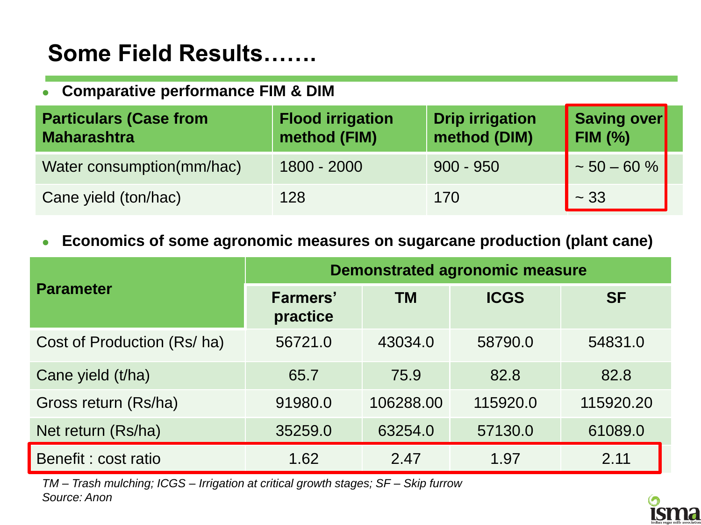### **Some Field Results…….**

### **Comparative performance FIM & DIM**

| <b>Particulars (Case from</b><br>Maharashtra | <b>Flood irrigation</b><br>method (FIM) | <b>Drip irrigation</b><br>method (DIM) | Saving over<br><b>FIM (%)</b> |  |
|----------------------------------------------|-----------------------------------------|----------------------------------------|-------------------------------|--|
| Water consumption(mm/hac)                    | 1800 - 2000                             | $900 - 950$                            | $\sim 50 - 60 \%$             |  |
| Cane yield (ton/hac)                         | 128                                     | 170                                    | ~1.33                         |  |

### **Economics of some agronomic measures on sugarcane production (plant cane)**

|                             | <b>Demonstrated agronomic measure</b> |           |             |           |
|-----------------------------|---------------------------------------|-----------|-------------|-----------|
| <b>Parameter</b>            | <b>Farmers'</b><br>practice           | <b>TM</b> | <b>ICGS</b> | <b>SF</b> |
| Cost of Production (Rs/ ha) | 56721.0                               | 43034.0   | 58790.0     | 54831.0   |
| Cane yield (t/ha)           | 65.7                                  | 75.9      | 82.8        | 82.8      |
| Gross return (Rs/ha)        | 91980.0                               | 106288.00 | 115920.0    | 115920.20 |
| Net return (Rs/ha)          | 35259.0                               | 63254.0   | 57130.0     | 61089.0   |
| Benefit: cost ratio         | 1.62                                  | 2.47      | 1.97        | 2.11      |

*TM – Trash mulching; ICGS – Irrigation at critical growth stages; SF – Skip furrow Source: Anon*

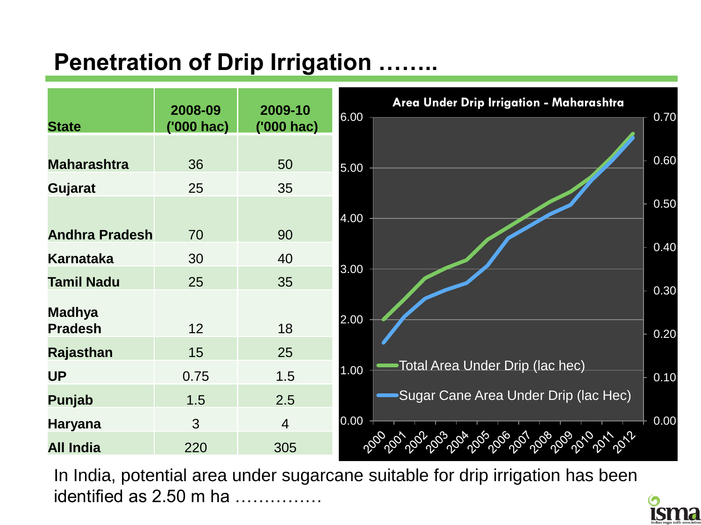### **Penetration of Drip Irrigation**



In India, potential area under sugarcane suitable for drip irrigation has been identified as 2.50 m ha ……………

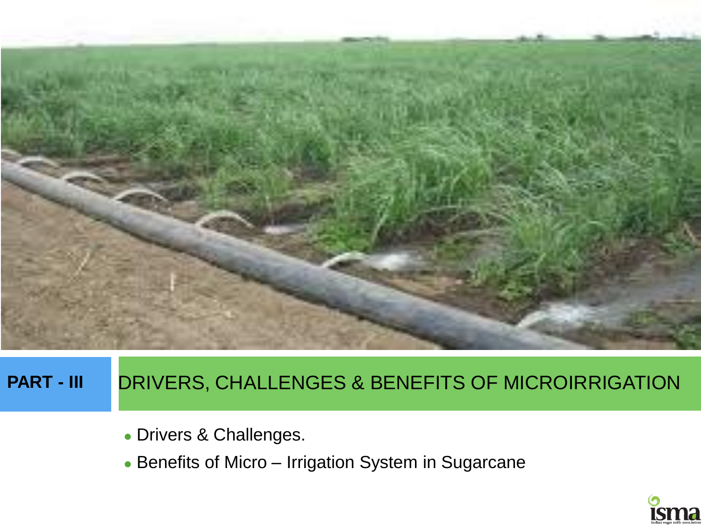

### **PART - III** DRIVERS, CHALLENGES & BENEFITS OF MICROIRRIGATION

- Drivers & Challenges.
- Benefits of Micro Irrigation System in Sugarcane

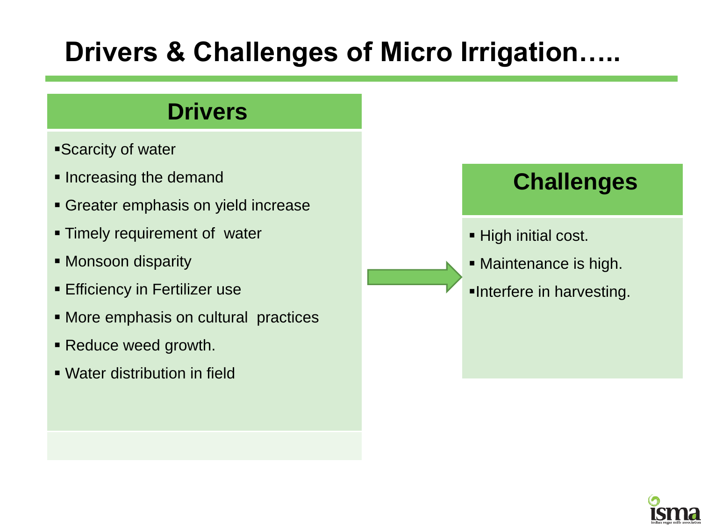## **Drivers & Challenges of Micro Irrigation…..**

### **Drivers**

- Scarcity of water
- **Increasing the demand**
- Greater emphasis on yield increase
- **Timely requirement of water**
- Monsoon disparity
- **Efficiency in Fertilizer use**
- **More emphasis on cultural practices**
- Reduce weed growth.
- Water distribution in field

### **Challenges**

- High initial cost.
- Maintenance is high.
- Interfere in harvesting.

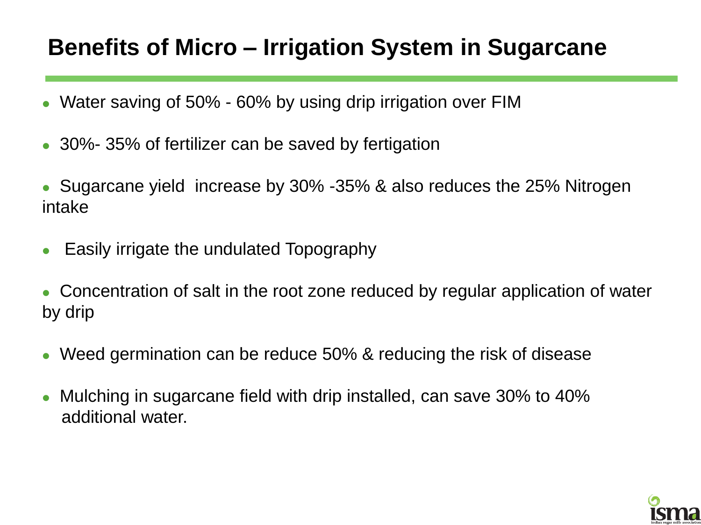### **Benefits of Micro – Irrigation System in Sugarcane**

- Water saving of 50% 60% by using drip irrigation over FIM
- 30%- 35% of fertilizer can be saved by fertigation
- Sugarcane yield increase by 30% -35% & also reduces the 25% Nitrogen intake
- Easily irrigate the undulated Topography
- Concentration of salt in the root zone reduced by regular application of water by drip
- Weed germination can be reduce 50% & reducing the risk of disease
- Mulching in sugarcane field with drip installed, can save 30% to 40% additional water.